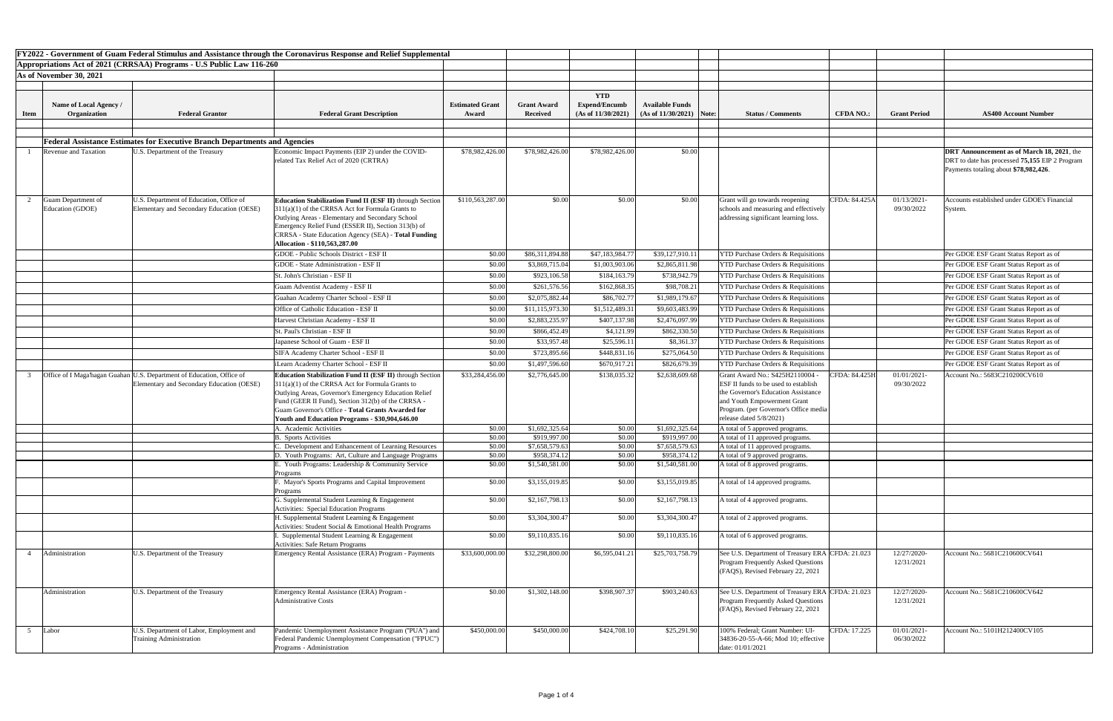|             |                                        |                                                                                                                      | FY2022 - Government of Guam Federal Stimulus and Assistance through the Coronavirus Response and Relief Supplemental                                                                                                                                                                                                                 |                                 |                                       |                                            |                                                      |                                                                                                                                                                                                                              |                  |                              |                                                                                                                                              |
|-------------|----------------------------------------|----------------------------------------------------------------------------------------------------------------------|--------------------------------------------------------------------------------------------------------------------------------------------------------------------------------------------------------------------------------------------------------------------------------------------------------------------------------------|---------------------------------|---------------------------------------|--------------------------------------------|------------------------------------------------------|------------------------------------------------------------------------------------------------------------------------------------------------------------------------------------------------------------------------------|------------------|------------------------------|----------------------------------------------------------------------------------------------------------------------------------------------|
|             |                                        | Appropriations Act of 2021 (CRRSAA) Programs - U.S Public Law 116-260                                                |                                                                                                                                                                                                                                                                                                                                      |                                 |                                       |                                            |                                                      |                                                                                                                                                                                                                              |                  |                              |                                                                                                                                              |
|             | As of November 30, 2021                |                                                                                                                      |                                                                                                                                                                                                                                                                                                                                      |                                 |                                       |                                            |                                                      |                                                                                                                                                                                                                              |                  |                              |                                                                                                                                              |
|             |                                        |                                                                                                                      |                                                                                                                                                                                                                                                                                                                                      |                                 |                                       |                                            |                                                      |                                                                                                                                                                                                                              |                  |                              |                                                                                                                                              |
|             |                                        |                                                                                                                      |                                                                                                                                                                                                                                                                                                                                      |                                 |                                       | <b>YTD</b>                                 |                                                      |                                                                                                                                                                                                                              |                  |                              |                                                                                                                                              |
|             | Name of Local Agency /<br>Organization | <b>Federal Grantor</b>                                                                                               | <b>Federal Grant Description</b>                                                                                                                                                                                                                                                                                                     | <b>Estimated Grant</b><br>Award | <b>Grant Award</b><br><b>Received</b> | <b>Expend/Encumb</b><br>(As of 11/30/2021) | <b>Available Funds</b><br>$(As of 11/30/2021)$ Note: | <b>Status / Comments</b>                                                                                                                                                                                                     | <b>CFDA NO.:</b> | <b>Grant Period</b>          | <b>AS400 Account Number</b>                                                                                                                  |
| <b>Item</b> |                                        |                                                                                                                      |                                                                                                                                                                                                                                                                                                                                      |                                 |                                       |                                            |                                                      |                                                                                                                                                                                                                              |                  |                              |                                                                                                                                              |
|             |                                        |                                                                                                                      |                                                                                                                                                                                                                                                                                                                                      |                                 |                                       |                                            |                                                      |                                                                                                                                                                                                                              |                  |                              |                                                                                                                                              |
|             |                                        | <b>Federal Assistance Estimates for Executive Branch Departments and Agencies</b>                                    |                                                                                                                                                                                                                                                                                                                                      |                                 |                                       |                                            |                                                      |                                                                                                                                                                                                                              |                  |                              |                                                                                                                                              |
|             | Revenue and Taxation                   | U.S. Department of the Treasury                                                                                      | Economic Impact Payments (EIP 2) under the COVID-<br>related Tax Relief Act of 2020 (CRTRA)                                                                                                                                                                                                                                          | \$78,982,426.00                 | \$78,982,426.00                       | \$78,982,426.00                            | \$0.00                                               |                                                                                                                                                                                                                              |                  |                              | <b>DRT</b> Announcement as of March 18, 2021, the<br>DRT to date has processed 75,155 EIP 2 Program<br>Payments totaling about \$78,982,426. |
|             | Guam Department of<br>Education (GDOE) | U.S. Department of Education, Office of<br>Elementary and Secondary Education (OESE)                                 | Education Stabilization Fund II (ESF II) through Section<br>$311(a)(1)$ of the CRRSA Act for Formula Grants to<br>Outlying Areas - Elementary and Secondary School<br>Emergency Relief Fund (ESSER II), Section 313(b) of<br>CRRSA - State Education Agency (SEA) - Total Funding<br>Allocation - \$110,563,287.00                   | \$110,563,287.00                | \$0.00                                | \$0.00                                     | \$0.00                                               | Grant will go towards reopening<br>schools and measuring and effectively<br>addressing significant learning loss.                                                                                                            | CFDA: 84.425A    | 01/13/2021-<br>09/30/2022    | Accounts established under GDOE's Financial<br><b>System</b>                                                                                 |
|             |                                        |                                                                                                                      | <b>GDOE - Public Schools District - ESF II</b>                                                                                                                                                                                                                                                                                       | \$0.00                          | \$86,311,894.88                       | \$47,183,984.77                            | \$39,127,910.11                                      | <b>YTD Purchase Orders &amp; Requisitions</b>                                                                                                                                                                                |                  |                              | Per GDOE ESF Grant Status Report as of                                                                                                       |
|             |                                        |                                                                                                                      | <b>GDOE</b> - State Administration - ESF II                                                                                                                                                                                                                                                                                          | \$0.00                          | \$3,869,715.04                        | \$1,003,903.06                             | \$2,865,811.98                                       | <b>YTD Purchase Orders &amp; Requisitions</b>                                                                                                                                                                                |                  |                              | Per GDOE ESF Grant Status Report as of                                                                                                       |
|             |                                        |                                                                                                                      | St. John's Christian - ESF II                                                                                                                                                                                                                                                                                                        | \$0.00                          | \$923,106.58                          | \$184,163.79                               | \$738,942.79                                         | <b>YTD Purchase Orders &amp; Requisitions</b>                                                                                                                                                                                |                  |                              | Per GDOE ESF Grant Status Report as of                                                                                                       |
|             |                                        |                                                                                                                      | Guam Adventist Academy - ESF II                                                                                                                                                                                                                                                                                                      | \$0.00                          | \$261,576.56                          | \$162,868.35                               | \$98,708.21                                          | <b>YTD Purchase Orders &amp; Requisitions</b>                                                                                                                                                                                |                  |                              | Per GDOE ESF Grant Status Report as of                                                                                                       |
|             |                                        |                                                                                                                      | Guahan Academy Charter School - ESF II                                                                                                                                                                                                                                                                                               | \$0.00                          | \$2,075,882.44                        | \$86,702.77                                | \$1,989,179.67                                       | <b>YTD Purchase Orders &amp; Requisitions</b>                                                                                                                                                                                |                  |                              | Per GDOE ESF Grant Status Report as of                                                                                                       |
|             |                                        |                                                                                                                      | Office of Catholic Education - ESF II                                                                                                                                                                                                                                                                                                | \$0.00                          | \$11,115,973.30                       | \$1,512,489.31                             | \$9,603,483.99                                       | <b>YTD Purchase Orders &amp; Requisitions</b>                                                                                                                                                                                |                  |                              | Per GDOE ESF Grant Status Report as of                                                                                                       |
|             |                                        |                                                                                                                      | Harvest Christian Academy - ESF II                                                                                                                                                                                                                                                                                                   | \$0.00                          | \$2,883,235.97                        | \$407,137.98                               | \$2,476,097.99                                       | <b>YTD Purchase Orders &amp; Requisitions</b>                                                                                                                                                                                |                  |                              | Per GDOE ESF Grant Status Report as of                                                                                                       |
|             |                                        |                                                                                                                      | St. Paul's Christian - ESF II                                                                                                                                                                                                                                                                                                        | \$0.00                          | \$866,452.49                          | \$4,121.99                                 | \$862,330.50                                         | <b>YTD Purchase Orders &amp; Requisitions</b>                                                                                                                                                                                |                  |                              | Per GDOE ESF Grant Status Report as of                                                                                                       |
|             |                                        |                                                                                                                      | Japanese School of Guam - ESF II                                                                                                                                                                                                                                                                                                     | \$0.00                          | \$33,957.48                           | \$25,596.11                                | \$8,361.37                                           | <b>YTD Purchase Orders &amp; Requisitions</b>                                                                                                                                                                                |                  |                              | Per GDOE ESF Grant Status Report as of                                                                                                       |
|             |                                        |                                                                                                                      | SIFA Academy Charter School - ESF II                                                                                                                                                                                                                                                                                                 | \$0.00                          | \$723,895.66                          | \$448,831.16                               | \$275,064.50                                         | <b>YTD Purchase Orders &amp; Requisitions</b>                                                                                                                                                                                |                  |                              | Per GDOE ESF Grant Status Report as of                                                                                                       |
|             |                                        |                                                                                                                      | iLearn Academy Charter School - ESF II                                                                                                                                                                                                                                                                                               | \$0.00                          | \$1,497,596.60                        | \$670,917.21                               | \$826,679.39                                         | <b>YTD Purchase Orders &amp; Requisitions</b>                                                                                                                                                                                |                  |                              | Per GDOE ESF Grant Status Report as of                                                                                                       |
|             |                                        | Office of I Maga'hagan Guahan   U.S. Department of Education, Office of<br>Elementary and Secondary Education (OESE) | Education Stabilization Fund II (ESF II) through Section<br>$311(a)(1)$ of the CRRSA Act for Formula Grants to<br>Outlying Areas, Governor's Emergency Education Relief<br>Fund (GEER II Fund), Section 312(b) of the CRRSA -<br>Guam Governor's Office - Total Grants Awarded for<br>Youth and Education Programs - \$30,904,646.00 | \$33,284,456.00                 | \$2,776,645.00                        | \$138,035.32                               | \$2,638,609.68                                       | Grant Award No.: S425H2110004 -<br><b>ESF II funds to be used to establish</b><br>the Governor's Education Assistance<br>and Youth Empowerment Grant<br>Program. (per Governor's Office media)<br>release dated $5/8/2021$ ) | CFDA: 84.425H    | $01/01/2021 -$<br>09/30/2022 | Account No.: 5683C210200CV610                                                                                                                |
|             |                                        |                                                                                                                      | <b>Academic Activities</b>                                                                                                                                                                                                                                                                                                           | \$0.00                          | \$1,692,325.64                        | \$0.00                                     | \$1,692,325.64                                       | A total of 5 approved programs.                                                                                                                                                                                              |                  |                              |                                                                                                                                              |
|             |                                        |                                                                                                                      | <b>Sports Activities</b>                                                                                                                                                                                                                                                                                                             | \$0.00                          | \$919,997.00                          | \$0.00                                     | \$919,997.00                                         | A total of 11 approved programs.                                                                                                                                                                                             |                  |                              |                                                                                                                                              |
|             |                                        |                                                                                                                      | Development and Enhancement of Learning Resources                                                                                                                                                                                                                                                                                    | \$0.00                          | \$7,658,579.63                        | \$0.00                                     | \$7,658,579.63                                       | A total of 11 approved programs.                                                                                                                                                                                             |                  |                              |                                                                                                                                              |
|             |                                        |                                                                                                                      | D. Youth Programs: Art, Culture and Language Programs                                                                                                                                                                                                                                                                                | \$0.00                          | \$958,374.12                          | \$0.00                                     | \$958,374.12                                         | A total of 9 approved programs.                                                                                                                                                                                              |                  |                              |                                                                                                                                              |
|             |                                        |                                                                                                                      | Youth Programs: Leadership & Community Service<br>rograms                                                                                                                                                                                                                                                                            | \$0.00                          | \$1,540,581.00                        | \$0.00                                     | \$1,540,581.00                                       | A total of 8 approved programs.                                                                                                                                                                                              |                  |                              |                                                                                                                                              |
|             |                                        |                                                                                                                      | Mayor's Sports Programs and Capital Improvement<br>Programs                                                                                                                                                                                                                                                                          | \$0.00                          | \$3,155,019.85                        | \$0.00                                     | \$3,155,019.85                                       | A total of 14 approved programs.                                                                                                                                                                                             |                  |                              |                                                                                                                                              |
|             |                                        |                                                                                                                      | G. Supplemental Student Learning & Engagement<br><b>Activities: Special Education Programs</b>                                                                                                                                                                                                                                       | \$0.00                          | \$2,167,798.13                        | \$0.00                                     | \$2,167,798.13                                       | A total of 4 approved programs.                                                                                                                                                                                              |                  |                              |                                                                                                                                              |
|             |                                        |                                                                                                                      | H. Supplemental Student Learning & Engagement<br>Activities: Student Social & Emotional Health Programs                                                                                                                                                                                                                              | \$0.00                          | \$3,304,300.47                        | \$0.00                                     | \$3,304,300.47                                       | $\overline{A}$ total of 2 approved programs.                                                                                                                                                                                 |                  |                              |                                                                                                                                              |
|             |                                        |                                                                                                                      | Supplemental Student Learning & Engagement<br><b>Activities: Safe Return Programs</b>                                                                                                                                                                                                                                                | \$0.00                          | \$9,110,835.16                        | \$0.00                                     | \$9,110,835.16                                       | A total of 6 approved programs.                                                                                                                                                                                              |                  |                              |                                                                                                                                              |
|             | Administration                         | U.S. Department of the Treasury                                                                                      | Emergency Rental Assistance (ERA) Program - Payments                                                                                                                                                                                                                                                                                 | \$33,600,000.00                 | \$32,298,800.00                       | \$6,595,041.21                             | \$25,703,758.79                                      | See U.S. Department of Treasury ERA CFDA: 21.023<br>Program Frequently Asked Questions<br>(FAQS), Revised February 22, 2021                                                                                                  |                  | 12/27/2020-<br>12/31/2021    | Account No.: 5681C210600CV641                                                                                                                |
|             | Administration                         | U.S. Department of the Treasury                                                                                      | <b>Emergency Rental Assistance (ERA) Program -</b><br><b>Administrative Costs</b>                                                                                                                                                                                                                                                    | \$0.00                          | \$1,302,148.00                        | \$398,907.37                               | \$903,240.63                                         | See U.S. Department of Treasury ERA CFDA: 21.023<br><b>Program Frequently Asked Questions</b><br>(FAQS), Revised February 22, 2021                                                                                           |                  | 12/27/2020-<br>12/31/2021    | Account No.: 5681C210600CV642                                                                                                                |
|             | Labor                                  | U.S. Department of Labor, Employment and<br>Training Administration                                                  | Pandemic Unemployment Assistance Program ("PUA") and  <br>Federal Pandemic Unemployment Compensation ("FPUC")<br>Programs - Administration                                                                                                                                                                                           | \$450,000.00                    | \$450,000.00                          | \$424,708.10                               | \$25,291.90                                          | 100% Federal; Grant Number: UI-<br>34836-20-55-A-66; Mod 10; effective<br>date: 01/01/2021                                                                                                                                   | CFDA: 17.225     | $01/01/2021$ -<br>06/30/2022 | Account No.: 5101H212400CV105                                                                                                                |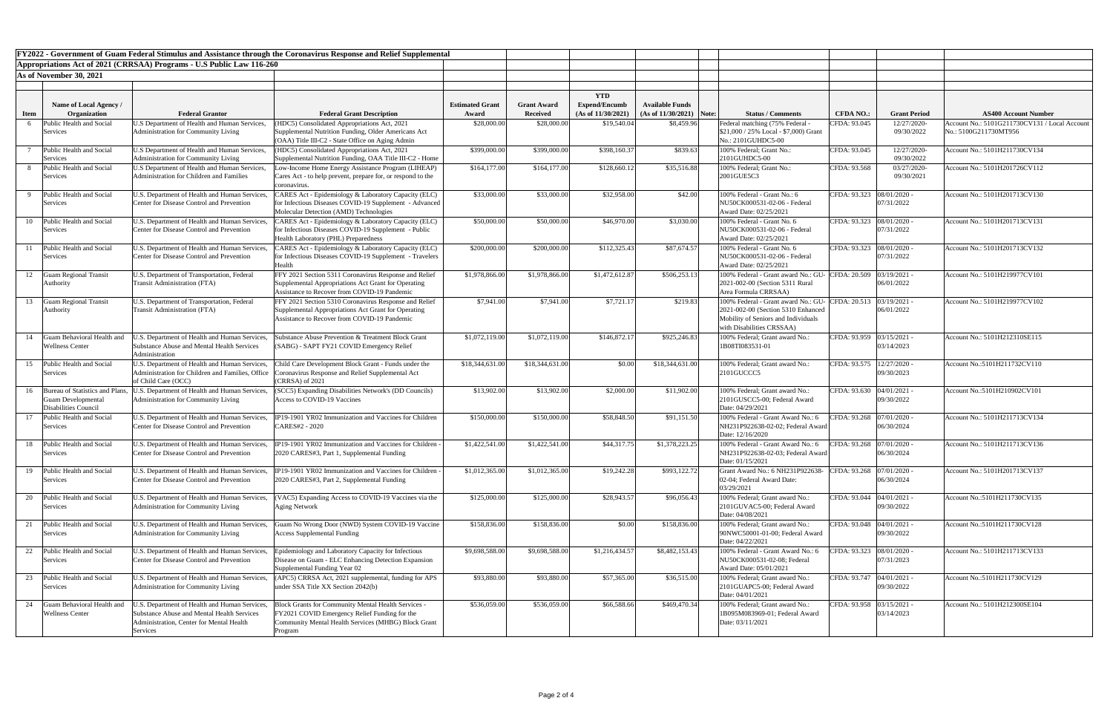|                         |                                                                                                                                                                                                                                                                                                                                                                                                                                                                                                                                                                                                                                                                                                                                                                                                                                                                                                                              |                                                                                                                                                                                                                                                  | FY2022 - Government of Guam Federal Stimulus and Assistance through the Coronavirus Response and Relief Supplemental<br>Appropriations Act of 2021 (CRRSAA) Programs - U.S Public Law 116-260                                                                                                                              |                                                                                                                                                 |                                                                   |                                                                                                                                                                                                                                                                                   |                                                   |                                                                                                                     |                                                                                                                                     |                                                                                                        |                                                                                                                                                                                                                                                                                                                                                                                                                                                                                                                                                                                    |  |  |  |
|-------------------------|------------------------------------------------------------------------------------------------------------------------------------------------------------------------------------------------------------------------------------------------------------------------------------------------------------------------------------------------------------------------------------------------------------------------------------------------------------------------------------------------------------------------------------------------------------------------------------------------------------------------------------------------------------------------------------------------------------------------------------------------------------------------------------------------------------------------------------------------------------------------------------------------------------------------------|--------------------------------------------------------------------------------------------------------------------------------------------------------------------------------------------------------------------------------------------------|----------------------------------------------------------------------------------------------------------------------------------------------------------------------------------------------------------------------------------------------------------------------------------------------------------------------------|-------------------------------------------------------------------------------------------------------------------------------------------------|-------------------------------------------------------------------|-----------------------------------------------------------------------------------------------------------------------------------------------------------------------------------------------------------------------------------------------------------------------------------|---------------------------------------------------|---------------------------------------------------------------------------------------------------------------------|-------------------------------------------------------------------------------------------------------------------------------------|--------------------------------------------------------------------------------------------------------|------------------------------------------------------------------------------------------------------------------------------------------------------------------------------------------------------------------------------------------------------------------------------------------------------------------------------------------------------------------------------------------------------------------------------------------------------------------------------------------------------------------------------------------------------------------------------------|--|--|--|
|                         |                                                                                                                                                                                                                                                                                                                                                                                                                                                                                                                                                                                                                                                                                                                                                                                                                                                                                                                              |                                                                                                                                                                                                                                                  |                                                                                                                                                                                                                                                                                                                            |                                                                                                                                                 |                                                                   |                                                                                                                                                                                                                                                                                   |                                                   |                                                                                                                     |                                                                                                                                     |                                                                                                        |                                                                                                                                                                                                                                                                                                                                                                                                                                                                                                                                                                                    |  |  |  |
| As of November 30, 2021 |                                                                                                                                                                                                                                                                                                                                                                                                                                                                                                                                                                                                                                                                                                                                                                                                                                                                                                                              |                                                                                                                                                                                                                                                  |                                                                                                                                                                                                                                                                                                                            |                                                                                                                                                 |                                                                   |                                                                                                                                                                                                                                                                                   |                                                   |                                                                                                                     |                                                                                                                                     |                                                                                                        |                                                                                                                                                                                                                                                                                                                                                                                                                                                                                                                                                                                    |  |  |  |
|                         |                                                                                                                                                                                                                                                                                                                                                                                                                                                                                                                                                                                                                                                                                                                                                                                                                                                                                                                              |                                                                                                                                                                                                                                                  |                                                                                                                                                                                                                                                                                                                            |                                                                                                                                                 |                                                                   |                                                                                                                                                                                                                                                                                   |                                                   |                                                                                                                     |                                                                                                                                     |                                                                                                        |                                                                                                                                                                                                                                                                                                                                                                                                                                                                                                                                                                                    |  |  |  |
|                         |                                                                                                                                                                                                                                                                                                                                                                                                                                                                                                                                                                                                                                                                                                                                                                                                                                                                                                                              |                                                                                                                                                                                                                                                  |                                                                                                                                                                                                                                                                                                                            |                                                                                                                                                 |                                                                   |                                                                                                                                                                                                                                                                                   |                                                   |                                                                                                                     |                                                                                                                                     |                                                                                                        |                                                                                                                                                                                                                                                                                                                                                                                                                                                                                                                                                                                    |  |  |  |
| Organization            | <b>Federal Grantor</b>                                                                                                                                                                                                                                                                                                                                                                                                                                                                                                                                                                                                                                                                                                                                                                                                                                                                                                       | <b>Federal Grant Description</b>                                                                                                                                                                                                                 | Award                                                                                                                                                                                                                                                                                                                      | <b>Received</b>                                                                                                                                 | (As of 11/30/2021)                                                |                                                                                                                                                                                                                                                                                   |                                                   | <b>Status / Comments</b>                                                                                            | <b>CFDA NO.:</b>                                                                                                                    | <b>Grant Period</b>                                                                                    | <b>AS400 Account Number</b>                                                                                                                                                                                                                                                                                                                                                                                                                                                                                                                                                        |  |  |  |
|                         | U.S Department of Health and Human Services,                                                                                                                                                                                                                                                                                                                                                                                                                                                                                                                                                                                                                                                                                                                                                                                                                                                                                 | HDC5) Consolidated Appropriations Act, 2021                                                                                                                                                                                                      | \$28,000.00                                                                                                                                                                                                                                                                                                                | \$28,000.00                                                                                                                                     |                                                                   |                                                                                                                                                                                                                                                                                   |                                                   | Federal matching (75% Federal -                                                                                     | CFDA: 93.045                                                                                                                        | 12/27/2020-                                                                                            | Account No.: 5101G211730CV131 / Local Account                                                                                                                                                                                                                                                                                                                                                                                                                                                                                                                                      |  |  |  |
|                         |                                                                                                                                                                                                                                                                                                                                                                                                                                                                                                                                                                                                                                                                                                                                                                                                                                                                                                                              | (OAA) Title III-C2 - State Office on Aging Admin                                                                                                                                                                                                 |                                                                                                                                                                                                                                                                                                                            |                                                                                                                                                 |                                                                   |                                                                                                                                                                                                                                                                                   |                                                   | No.: 2101GUHDC5-00                                                                                                  |                                                                                                                                     |                                                                                                        | No.: 5100G211730MT956                                                                                                                                                                                                                                                                                                                                                                                                                                                                                                                                                              |  |  |  |
|                         | Administration for Community Living                                                                                                                                                                                                                                                                                                                                                                                                                                                                                                                                                                                                                                                                                                                                                                                                                                                                                          | Supplemental Nutrition Funding, OAA Title III-C2 - Home                                                                                                                                                                                          |                                                                                                                                                                                                                                                                                                                            |                                                                                                                                                 |                                                                   |                                                                                                                                                                                                                                                                                   |                                                   | 100% Federal; Grant No.:<br>2101GUHDC5-00                                                                           |                                                                                                                                     | 09/30/2022                                                                                             | Account No.: 5101H211730CV134                                                                                                                                                                                                                                                                                                                                                                                                                                                                                                                                                      |  |  |  |
|                         | Administration for Children and Families                                                                                                                                                                                                                                                                                                                                                                                                                                                                                                                                                                                                                                                                                                                                                                                                                                                                                     | Cares Act - to help prevent, prepare for, or respond to the<br>coronavirus.                                                                                                                                                                      |                                                                                                                                                                                                                                                                                                                            |                                                                                                                                                 |                                                                   |                                                                                                                                                                                                                                                                                   |                                                   | 2001GUE5C3                                                                                                          |                                                                                                                                     | 09/30/2021                                                                                             | Account No.: 5101H201726CV112                                                                                                                                                                                                                                                                                                                                                                                                                                                                                                                                                      |  |  |  |
|                         | U.S. Department of Health and Human Services,<br>Center for Disease Control and Prevention                                                                                                                                                                                                                                                                                                                                                                                                                                                                                                                                                                                                                                                                                                                                                                                                                                   | ARES Act - Epidemiology & Laboratory Capacity (ELC)<br><b>Molecular Detection (AMD) Technologies</b>                                                                                                                                             | \$33,000.00                                                                                                                                                                                                                                                                                                                | \$33,000.00                                                                                                                                     | \$32,958.00                                                       | \$42.00                                                                                                                                                                                                                                                                           |                                                   | 100% Federal - Grant No.: 6<br>NU50CK000531-02-06 - Federal<br>Award Date: 02/25/2021                               |                                                                                                                                     | 07/31/2022                                                                                             | Account No.: 5101H201713CV130                                                                                                                                                                                                                                                                                                                                                                                                                                                                                                                                                      |  |  |  |
|                         | U.S. Department of Health and Human Services,<br>Center for Disease Control and Prevention                                                                                                                                                                                                                                                                                                                                                                                                                                                                                                                                                                                                                                                                                                                                                                                                                                   | CARES Act - Epidemiology & Laboratory Capacity (ELC)<br>for Infectious Diseases COVID-19 Supplement - Public                                                                                                                                     | \$50,000.00                                                                                                                                                                                                                                                                                                                | \$50,000.00                                                                                                                                     |                                                                   |                                                                                                                                                                                                                                                                                   |                                                   | 100% Federal - Grant No. 6<br>NU50CK000531-02-06 - Federal<br>Award Date: 02/25/2021                                |                                                                                                                                     | 07/31/2022                                                                                             | Account No.: 5101H201713CV131                                                                                                                                                                                                                                                                                                                                                                                                                                                                                                                                                      |  |  |  |
|                         | U.S. Department of Health and Human Services,<br>Center for Disease Control and Prevention                                                                                                                                                                                                                                                                                                                                                                                                                                                                                                                                                                                                                                                                                                                                                                                                                                   | CARES Act - Epidemiology & Laboratory Capacity (ELC)<br>for Infectious Diseases COVID-19 Supplement - Travelers<br>Health                                                                                                                        | \$200,000.00                                                                                                                                                                                                                                                                                                               | \$200,000.00                                                                                                                                    |                                                                   | \$87,674.57                                                                                                                                                                                                                                                                       |                                                   | 100% Federal - Grant No. 6<br>NU50CK000531-02-06 - Federal<br>Award Date: 02/25/2021                                |                                                                                                                                     | 07/31/2022                                                                                             | Account No.: 5101H201713CV132                                                                                                                                                                                                                                                                                                                                                                                                                                                                                                                                                      |  |  |  |
|                         | U.S. Department of Transportation, Federal<br><b>Transit Administration (FTA)</b>                                                                                                                                                                                                                                                                                                                                                                                                                                                                                                                                                                                                                                                                                                                                                                                                                                            | FFY 2021 Section 5311 Coronavirus Response and Relief<br>Supplemental Appropriations Act Grant for Operating<br>Assistance to Recover from COVID-19 Pandemic                                                                                     | \$1,978,866.00                                                                                                                                                                                                                                                                                                             | \$1,978,866.00                                                                                                                                  |                                                                   | \$506,253.13                                                                                                                                                                                                                                                                      |                                                   | 100% Federal - Grant award No.: GU-<br>2021-002-00 (Section 5311 Rural<br>Area Formula CRRSAA)                      |                                                                                                                                     | 06/01/2022                                                                                             | Account No.: 5101H219977CV101                                                                                                                                                                                                                                                                                                                                                                                                                                                                                                                                                      |  |  |  |
|                         | J.S. Department of Transportation, Federal<br><b>Transit Administration (FTA)</b>                                                                                                                                                                                                                                                                                                                                                                                                                                                                                                                                                                                                                                                                                                                                                                                                                                            | FFY 2021 Section 5310 Coronavirus Response and Relief<br>Supplemental Appropriations Act Grant for Operating<br>Assistance to Recover from COVID-19 Pandemic                                                                                     | \$7,941.00                                                                                                                                                                                                                                                                                                                 | \$7,941.00                                                                                                                                      |                                                                   |                                                                                                                                                                                                                                                                                   |                                                   | 2021-002-00 (Section 5310 Enhanced<br>Mobility of Seniors and Individuals<br>with Disabilities CRSSAA)              |                                                                                                                                     | 06/01/2022                                                                                             | Account No.: 5101H219977CV102                                                                                                                                                                                                                                                                                                                                                                                                                                                                                                                                                      |  |  |  |
|                         | .S. Department of Health and Human Services,<br>Substance Abuse and Mental Health Services<br>Administration                                                                                                                                                                                                                                                                                                                                                                                                                                                                                                                                                                                                                                                                                                                                                                                                                 | <b>Substance Abuse Prevention &amp; Treatment Block Grant</b><br>(SABG) - SAPT FY21 COVID Emergency Relief                                                                                                                                       | \$1,072,119.00                                                                                                                                                                                                                                                                                                             |                                                                                                                                                 | \$146,872.17                                                      | \$925,246.83                                                                                                                                                                                                                                                                      |                                                   | 100% Federal; Grant award No.:<br>1B08TI083531-01                                                                   |                                                                                                                                     | 03/14/2023                                                                                             | Account No.: 5101H212310SE115                                                                                                                                                                                                                                                                                                                                                                                                                                                                                                                                                      |  |  |  |
|                         | U.S. Department of Health and Human Services,<br>Administration for Children and Families, Office<br>of Child Care (OCC)                                                                                                                                                                                                                                                                                                                                                                                                                                                                                                                                                                                                                                                                                                                                                                                                     | Child Care Development Block Grant - Funds under the<br>Coronavirus Response and Relief Supplemental Act<br>(CRRSA) of 2021                                                                                                                      | \$18,344,631.00                                                                                                                                                                                                                                                                                                            | \$18,344,631.00                                                                                                                                 |                                                                   | \$18,344,631.00                                                                                                                                                                                                                                                                   |                                                   | 100% Federal; Grant award No.:<br>2101GUCCC5                                                                        |                                                                                                                                     | 09/30/2023                                                                                             | Account No.:5101H211732CV110                                                                                                                                                                                                                                                                                                                                                                                                                                                                                                                                                       |  |  |  |
|                         | Administration for Community Living                                                                                                                                                                                                                                                                                                                                                                                                                                                                                                                                                                                                                                                                                                                                                                                                                                                                                          | Access to COVID-19 Vaccines                                                                                                                                                                                                                      |                                                                                                                                                                                                                                                                                                                            |                                                                                                                                                 |                                                                   |                                                                                                                                                                                                                                                                                   |                                                   | 2101GUSCC5-00; Federal Award<br>Date: 04/29/2021                                                                    |                                                                                                                                     | 09/30/2022                                                                                             | Account No.:5101H210902CV101                                                                                                                                                                                                                                                                                                                                                                                                                                                                                                                                                       |  |  |  |
|                         | Center for Disease Control and Prevention                                                                                                                                                                                                                                                                                                                                                                                                                                                                                                                                                                                                                                                                                                                                                                                                                                                                                    | CARES#2 - 2020                                                                                                                                                                                                                                   |                                                                                                                                                                                                                                                                                                                            |                                                                                                                                                 |                                                                   | \$91,151.50                                                                                                                                                                                                                                                                       |                                                   | 100% Federal - Grant Award No.: 6<br>Date: 12/16/2020                                                               |                                                                                                                                     | 06/30/2024                                                                                             | Account No.: 5101H211713CV134                                                                                                                                                                                                                                                                                                                                                                                                                                                                                                                                                      |  |  |  |
|                         | U.S. Department of Health and Human Services,<br>Center for Disease Control and Prevention                                                                                                                                                                                                                                                                                                                                                                                                                                                                                                                                                                                                                                                                                                                                                                                                                                   | P19-1901 YR02 Immunization and Vaccines for Children<br>2020 CARES#3, Part 1, Supplemental Funding                                                                                                                                               | \$1,422,541.00                                                                                                                                                                                                                                                                                                             | \$1,422,541.00                                                                                                                                  | \$44,317.75                                                       |                                                                                                                                                                                                                                                                                   |                                                   | 100% Federal - Grant Award No.: 6<br>Date: 01/15/2021                                                               |                                                                                                                                     | 06/30/2024                                                                                             | Account No.: 5101H211713CV136                                                                                                                                                                                                                                                                                                                                                                                                                                                                                                                                                      |  |  |  |
|                         | U.S. Department of Health and Human Services,<br><b>Center for Disease Control and Prevention</b>                                                                                                                                                                                                                                                                                                                                                                                                                                                                                                                                                                                                                                                                                                                                                                                                                            | IP19-1901 YR02 Immunization and Vaccines for Children<br>2020 CARES#3, Part 2, Supplemental Funding                                                                                                                                              | \$1,012,365.00                                                                                                                                                                                                                                                                                                             | \$1,012,365.00                                                                                                                                  | \$19,242.28                                                       | \$993,122.72                                                                                                                                                                                                                                                                      |                                                   | Grant Award No.: 6 NH231P922638-<br>02-04; Federal Award Date:<br>03/29/2021                                        |                                                                                                                                     | 06/30/2024                                                                                             | Account No.: 5101H201713CV137                                                                                                                                                                                                                                                                                                                                                                                                                                                                                                                                                      |  |  |  |
|                         | U.S. Department of Health and Human Services,<br><b>Administration for Community Living</b>                                                                                                                                                                                                                                                                                                                                                                                                                                                                                                                                                                                                                                                                                                                                                                                                                                  | VAC5) Expanding Access to COVID-19 Vaccines via the<br>Aging Network                                                                                                                                                                             | \$125,000.00                                                                                                                                                                                                                                                                                                               | \$125,000.00                                                                                                                                    | \$28,943.57                                                       | \$96,056.43                                                                                                                                                                                                                                                                       |                                                   | 100% Federal; Grant award No.:<br>2101GUVAC5-00; Federal Award<br>Date: 04/08/2021                                  |                                                                                                                                     | 09/30/2022                                                                                             | Account No.:5101H211730CV135                                                                                                                                                                                                                                                                                                                                                                                                                                                                                                                                                       |  |  |  |
|                         | U.S. Department of Health and Human Services,<br><b>Administration for Community Living</b>                                                                                                                                                                                                                                                                                                                                                                                                                                                                                                                                                                                                                                                                                                                                                                                                                                  | uam No Wrong Door (NWD) System COVID-19 Vaccine<br><b>Access Supplemental Funding</b>                                                                                                                                                            | \$158,836.00                                                                                                                                                                                                                                                                                                               | \$158,836.00                                                                                                                                    |                                                                   | \$158,836.00                                                                                                                                                                                                                                                                      |                                                   | 100% Federal; Grant award No.:<br>90NWC50001-01-00; Federal Award<br>Date: 04/22/2021                               |                                                                                                                                     | 09/30/2022                                                                                             | Account No.:5101H211730CV128                                                                                                                                                                                                                                                                                                                                                                                                                                                                                                                                                       |  |  |  |
|                         | U.S. Department of Health and Human Services,<br>Center for Disease Control and Prevention                                                                                                                                                                                                                                                                                                                                                                                                                                                                                                                                                                                                                                                                                                                                                                                                                                   | Epidemiology and Laboratory Capacity for Infectious<br>Disease on Guam - ELC Enhancing Detection Expansion<br>Supplemental Funding Year 02                                                                                                       | \$9,698,588.00                                                                                                                                                                                                                                                                                                             | \$9,698,588.00                                                                                                                                  | \$1,216,434.57                                                    | \$8,482,153.43                                                                                                                                                                                                                                                                    |                                                   | 100% Federal - Grant Award No.: 6<br>NU50CK000531-02-08; Federal<br>Award Date: 05/01/2021                          |                                                                                                                                     | 07/31/2023                                                                                             | Account No.: 5101H211713CV133                                                                                                                                                                                                                                                                                                                                                                                                                                                                                                                                                      |  |  |  |
|                         | U.S. Department of Health and Human Services,<br>Administration for Community Living                                                                                                                                                                                                                                                                                                                                                                                                                                                                                                                                                                                                                                                                                                                                                                                                                                         | APC5) CRRSA Act, 2021 supplemental, funding for APS<br>under SSA Title XX Section 2042(b)                                                                                                                                                        | \$93,880.00                                                                                                                                                                                                                                                                                                                |                                                                                                                                                 |                                                                   |                                                                                                                                                                                                                                                                                   |                                                   | 100% Federal; Grant award No.:<br>2101GUAPC5-00; Federal Award<br>Date: 04/01/2021                                  |                                                                                                                                     | 09/30/2022                                                                                             | Account No.:5101H211730CV129                                                                                                                                                                                                                                                                                                                                                                                                                                                                                                                                                       |  |  |  |
|                         | J.S. Department of Health and Human Services,<br><b>Substance Abuse and Mental Health Services</b><br>Administration, Center for Mental Health                                                                                                                                                                                                                                                                                                                                                                                                                                                                                                                                                                                                                                                                                                                                                                               | Block Grants for Community Mental Health Services -<br>FY2021 COVID Emergency Relief Funding for the<br>Community Mental Health Services (MHBG) Block Grant<br>Program                                                                           | \$536,059.00                                                                                                                                                                                                                                                                                                               |                                                                                                                                                 |                                                                   |                                                                                                                                                                                                                                                                                   |                                                   | 100% Federal; Grant award No.:<br>1B095M083969-01; Federal Award<br>Date: 03/11/2021                                |                                                                                                                                     | 03/14/2023                                                                                             | Account No.: 5101H212300SE104                                                                                                                                                                                                                                                                                                                                                                                                                                                                                                                                                      |  |  |  |
|                         | <b>Name of Local Agency /</b><br>Public Health and Social<br>Services<br>Public Health and Social<br>Services<br>Public Health and Social<br>Services<br>Public Health and Social<br>Services<br>Public Health and Social<br>Services<br>Public Health and Social<br>Services<br><b>Guam Regional Transit</b><br><b>Authority</b><br><b>Guam Regional Transit</b><br>Authority<br>Guam Behavioral Health and<br><b>Wellness Center</b><br>15 Public Health and Social<br>Services<br>Bureau of Statistics and Plans,<br><b>Guam Developmental</b><br>Disabilities Council<br>Public Health and Social<br>Services<br>Public Health and Social<br>Services<br>Public Health and Social<br>Services<br>Public Health and Social<br>Services<br>Public Health and Social<br>Services<br>Public Health and Social<br>Services<br>Public Health and Social<br>Services<br>24 Guam Behavioral Health and<br><b>Wellness Center</b> | Administration for Community Living<br>U.S Department of Health and Human Services,<br>U.S Department of Health and Human Services,<br>U.S. Department of Health and Human Services<br>U.S. Department of Health and Human Services,<br>Services | Supplemental Nutrition Funding, Older Americans Act<br>(HDC5) Consolidated Appropriations Act, 2021<br>Low-Income Home Energy Assistance Program (LIHEAP)<br><b>Health Laboratory (PHL) Preparedness</b><br>(SCC5) Expanding Disabilities Network's (DD Councils)<br>IP19-1901 YR02 Immunization and Vaccines for Children | <b>Estimated Grant</b><br>\$399,000.00<br>\$164,177.00<br>for Infectious Diseases COVID-19 Supplement - Advanced<br>\$13,902.00<br>\$150,000.00 | <b>Grant Award</b><br>\$399,000.00<br>\$13,902.00<br>\$150,000.00 | <b>YTD</b><br><b>Expend/Encumb</b><br>\$19,540.04<br>\$398,160.37<br>\$164,177.00<br>\$128,660.12<br>\$46,970.00<br>\$112,325.43<br>\$1,472,612.87<br>\$7,721.17<br>\$1,072,119.00<br>\$0.00<br>\$2,000.00<br>\$58,848.50<br>\$0.00<br>\$93,880.00<br>\$57,365.00<br>\$536,059.00 | <b>Available Funds</b><br>\$839.63<br>\$66,588.66 | \$8,459.96<br>\$35,516.88<br>\$3,030.00<br>\$219.83<br>\$11,902.00<br>\$1,378,223.25<br>\$36,515.00<br>\$469,470.34 | $(As of 11/30/2021)$ Note:<br>$$21,000 / 25\%$ Local - \$7,000) Grant<br>100% Federal; Grant No.:<br>100% Federal; Grant award No.: | CFDA: 93.045<br>CFDA: 93.568<br>NH231P922638-02-02; Federal Award<br>NH231P922638-02-03; Federal Award | 09/30/2022<br>12/27/2020-<br>03/27/2020<br>CFDA: 93.323  08/01/2020 -<br>CFDA: 93.323  08/01/2020 -<br>CFDA: 93.323 08/01/2020 -<br>$\text{CFDA: } 20.509$ 03/19/2021 -<br>100% Federal - Grant award No.: GU- CFDA: 20.513 03/19/2021 -<br>CFDA: 93.959 03/15/2021 -<br>CFDA: 93.575   12/27/2020 -<br>CFDA: 93.630 04/01/2021 -<br>CFDA: 93.268 07/01/2020 -<br>CFDA: 93.268   07/01/2020 -<br>CFDA: 93.268   07/01/2020 -<br>CFDA: 93.044   04/01/2021 -<br>CFDA: 93.048 04/01/2021 -<br>CFDA: 93.323  08/01/2020 -<br>CFDA: 93.747   04/01/2021 -<br>CFDA: 93.958 03/15/2021 - |  |  |  |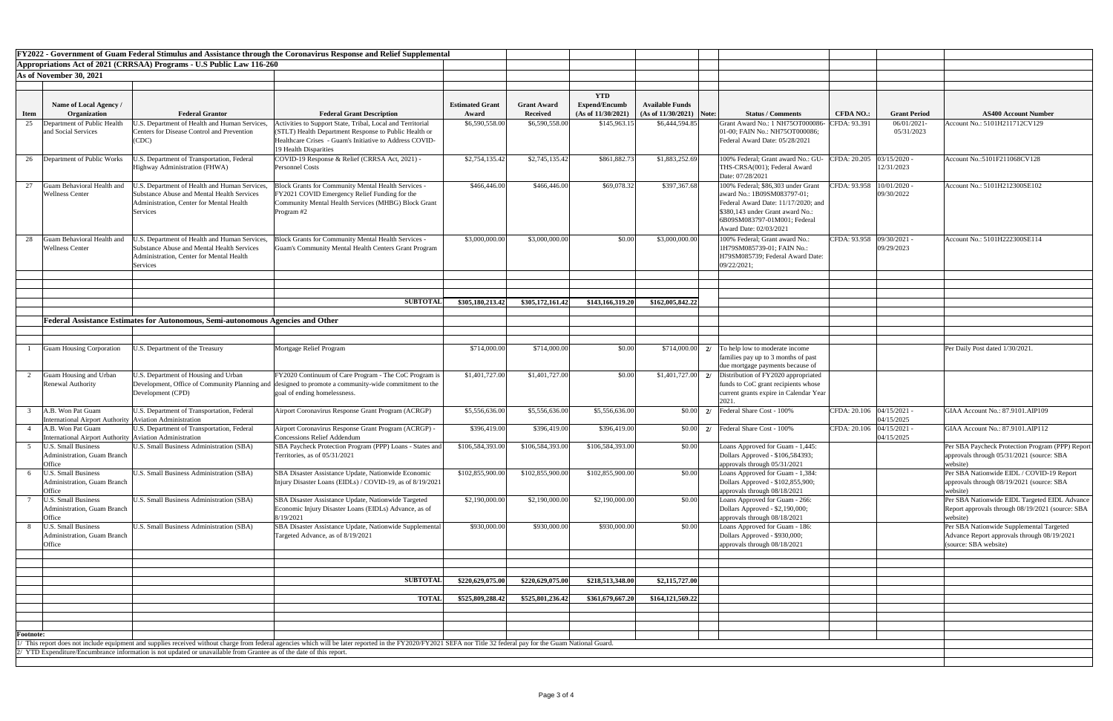| FY2022 - Government of Guam Federal Stimulus and Assistance through the Coronavirus Response and Relief Supplemental |                                                           |                                                                                                                   |                                                                                                                                                                                                                |                        |                    |                      |                            |                                                                                 |                             |                     |                                                  |
|----------------------------------------------------------------------------------------------------------------------|-----------------------------------------------------------|-------------------------------------------------------------------------------------------------------------------|----------------------------------------------------------------------------------------------------------------------------------------------------------------------------------------------------------------|------------------------|--------------------|----------------------|----------------------------|---------------------------------------------------------------------------------|-----------------------------|---------------------|--------------------------------------------------|
|                                                                                                                      |                                                           |                                                                                                                   |                                                                                                                                                                                                                |                        |                    |                      |                            |                                                                                 |                             |                     |                                                  |
| Appropriations Act of 2021 (CRRSAA) Programs - U.S Public Law 116-260                                                |                                                           |                                                                                                                   |                                                                                                                                                                                                                |                        |                    |                      |                            |                                                                                 |                             |                     |                                                  |
| As of November 30, 2021                                                                                              |                                                           |                                                                                                                   |                                                                                                                                                                                                                |                        |                    |                      |                            |                                                                                 |                             |                     |                                                  |
|                                                                                                                      |                                                           |                                                                                                                   |                                                                                                                                                                                                                |                        |                    |                      |                            |                                                                                 |                             |                     |                                                  |
|                                                                                                                      |                                                           |                                                                                                                   |                                                                                                                                                                                                                |                        |                    | <b>YTD</b>           |                            |                                                                                 |                             |                     |                                                  |
|                                                                                                                      | Name of Local Agency /                                    |                                                                                                                   |                                                                                                                                                                                                                | <b>Estimated Grant</b> | <b>Grant Award</b> | <b>Expend/Encumb</b> | <b>Available Funds</b>     |                                                                                 |                             |                     |                                                  |
| <b>Item</b>                                                                                                          | Organization                                              | <b>Federal Grantor</b>                                                                                            | <b>Federal Grant Description</b>                                                                                                                                                                               | Award                  | <b>Received</b>    | (As of 11/30/2021)   | $(As of 11/30/2021)$ Note: | <b>Status / Comments</b>                                                        | <b>CFDA NO.:</b>            | <b>Grant Period</b> | <b>AS400 Account Number</b>                      |
| 25                                                                                                                   | Department of Public Health                               | J.S. Department of Health and Human Services,                                                                     | Activities to Support State, Tribal, Local and Territorial                                                                                                                                                     | \$6,590,558.00         | \$6,590,558.00     | \$145,963.15         | \$6,444,594.85             | Grant Award No.: 1 NH75OT000086-                                                | CFDA: 93.391                | 06/01/2021-         | Account No.: 5101H211712CV129                    |
|                                                                                                                      | and Social Services                                       | <b>Centers for Disease Control and Prevention</b>                                                                 | (STLT) Health Department Response to Public Health or                                                                                                                                                          |                        |                    |                      |                            | 01-00; FAIN No.: NH75OT000086;                                                  |                             | 05/31/2023          |                                                  |
|                                                                                                                      |                                                           | (CDC)                                                                                                             | Healthcare Crises - Guam's Initiative to Address COVID-                                                                                                                                                        |                        |                    |                      |                            | Federal Award Date: 05/28/2021                                                  |                             |                     |                                                  |
|                                                                                                                      |                                                           |                                                                                                                   | 19 Health Disparities                                                                                                                                                                                          |                        |                    |                      |                            |                                                                                 |                             |                     |                                                  |
|                                                                                                                      | 26 Department of Public Works                             | J.S. Department of Transportation, Federal                                                                        | COVID-19 Response & Relief (CRRSA Act, 2021) -                                                                                                                                                                 | \$2,754,135.42         | \$2,745,135.42     | \$861,882.73         | \$1,883,252.69             | 100% Federal; Grant award No.: GU-                                              | CFDA: $20.205$ 03/15/2020 - |                     | Account No.:5101F211068CV128                     |
|                                                                                                                      |                                                           | Highway Administration (FHWA)                                                                                     | <b>Personnel Costs</b>                                                                                                                                                                                         |                        |                    |                      |                            | THS-CRSA(001); Federal Award                                                    |                             | 12/31/2023          |                                                  |
|                                                                                                                      |                                                           |                                                                                                                   |                                                                                                                                                                                                                |                        |                    |                      |                            | Date: 07/28/2021                                                                |                             |                     |                                                  |
| 27                                                                                                                   | Guam Behavioral Health and                                | J.S. Department of Health and Human Services,                                                                     | Block Grants for Community Mental Health Services -                                                                                                                                                            | \$466,446.00           | \$466,446.00       | \$69,078.32          | \$397,367.68               | 100% Federal; \$86,303 under Grant                                              | CFDA: 93.958   10/01/2020 - |                     | Account No.: 5101H212300SE102                    |
|                                                                                                                      | <b>Wellness Center</b>                                    | <b>Substance Abuse and Mental Health Services</b>                                                                 | FY2021 COVID Emergency Relief Funding for the                                                                                                                                                                  |                        |                    |                      |                            | award No.: 1B09SM083797-01;                                                     |                             | 09/30/2022          |                                                  |
|                                                                                                                      |                                                           | Administration, Center for Mental Health                                                                          | Community Mental Health Services (MHBG) Block Grant                                                                                                                                                            |                        |                    |                      |                            | Federal Award Date: 11/17/2020; and                                             |                             |                     |                                                  |
|                                                                                                                      |                                                           |                                                                                                                   |                                                                                                                                                                                                                |                        |                    |                      |                            | \$380,143 under Grant award No.:                                                |                             |                     |                                                  |
|                                                                                                                      |                                                           | Services                                                                                                          | Program #2                                                                                                                                                                                                     |                        |                    |                      |                            |                                                                                 |                             |                     |                                                  |
|                                                                                                                      |                                                           |                                                                                                                   |                                                                                                                                                                                                                |                        |                    |                      |                            | 6B09SM083797-01M001; Federal                                                    |                             |                     |                                                  |
|                                                                                                                      |                                                           |                                                                                                                   |                                                                                                                                                                                                                |                        |                    |                      |                            | Award Date: 02/03/2021                                                          |                             |                     |                                                  |
| 28                                                                                                                   | Guam Behavioral Health and                                | J.S. Department of Health and Human Services,                                                                     | Block Grants for Community Mental Health Services -                                                                                                                                                            | \$3,000,000.00         | \$3,000,000.00     | \$0.00               | \$3,000,000.00             | 100% Federal; Grant award No.:                                                  | CFDA: 93.958 09/30/2021 -   |                     | Account No.: 5101H222300SE114                    |
|                                                                                                                      | <b>Wellness Center</b>                                    | Substance Abuse and Mental Health Services                                                                        | Guam's Community Mental Health Centers Grant Program                                                                                                                                                           |                        |                    |                      |                            | 1H79SM085739-01; FAIN No.:                                                      |                             | 09/29/2023          |                                                  |
|                                                                                                                      |                                                           | <b>Administration, Center for Mental Health</b>                                                                   |                                                                                                                                                                                                                |                        |                    |                      |                            | H79SM085739; Federal Award Date:                                                |                             |                     |                                                  |
|                                                                                                                      |                                                           | Services                                                                                                          |                                                                                                                                                                                                                |                        |                    |                      |                            | 09/22/2021;                                                                     |                             |                     |                                                  |
|                                                                                                                      |                                                           |                                                                                                                   |                                                                                                                                                                                                                |                        |                    |                      |                            |                                                                                 |                             |                     |                                                  |
|                                                                                                                      |                                                           |                                                                                                                   |                                                                                                                                                                                                                |                        |                    |                      |                            |                                                                                 |                             |                     |                                                  |
|                                                                                                                      |                                                           |                                                                                                                   |                                                                                                                                                                                                                |                        |                    |                      |                            |                                                                                 |                             |                     |                                                  |
|                                                                                                                      |                                                           |                                                                                                                   | <b>SUBTOTAL</b>                                                                                                                                                                                                | \$305,180,213.42       | \$305,172,161.42   | \$143,166,319.20     | \$162,005,842.22           |                                                                                 |                             |                     |                                                  |
|                                                                                                                      |                                                           |                                                                                                                   |                                                                                                                                                                                                                |                        |                    |                      |                            |                                                                                 |                             |                     |                                                  |
|                                                                                                                      |                                                           | Federal Assistance Estimates for Autonomous, Semi-autonomous Agencies and Other                                   |                                                                                                                                                                                                                |                        |                    |                      |                            |                                                                                 |                             |                     |                                                  |
|                                                                                                                      |                                                           |                                                                                                                   |                                                                                                                                                                                                                |                        |                    |                      |                            |                                                                                 |                             |                     |                                                  |
|                                                                                                                      |                                                           |                                                                                                                   |                                                                                                                                                                                                                |                        |                    |                      |                            |                                                                                 |                             |                     |                                                  |
|                                                                                                                      | Guam Housing Corporation                                  | I.S. Department of the Treasury                                                                                   | Mortgage Relief Program                                                                                                                                                                                        | \$714,000.00           | \$714,000.00       | \$0.00               | \$714,000.00               | 2/ To help low to moderate income                                               |                             |                     | Per Daily Post dated 1/30/2021.                  |
|                                                                                                                      |                                                           |                                                                                                                   |                                                                                                                                                                                                                |                        |                    |                      |                            |                                                                                 |                             |                     |                                                  |
|                                                                                                                      |                                                           |                                                                                                                   |                                                                                                                                                                                                                |                        |                    |                      |                            | families pay up to 3 months of past                                             |                             |                     |                                                  |
|                                                                                                                      |                                                           |                                                                                                                   |                                                                                                                                                                                                                |                        |                    |                      |                            | due mortgage payments because of                                                |                             |                     |                                                  |
|                                                                                                                      | Guam Housing and Urban                                    | J.S. Department of Housing and Urban                                                                              | FY2020 Continuum of Care Program - The CoC Program is                                                                                                                                                          | \$1,401,727.00         | \$1,401,727.00     | \$0.00               |                            | $\left  \frac{1}{27.401,727.00} \right $ 2/ Distribution of FY2020 appropriated |                             |                     |                                                  |
|                                                                                                                      | <b>Renewal Authority</b>                                  |                                                                                                                   | Development, Office of Community Planning and designed to promote a community-wide commitment to the                                                                                                           |                        |                    |                      |                            | funds to CoC grant recipients whose                                             |                             |                     |                                                  |
|                                                                                                                      |                                                           | Development (CPD)                                                                                                 | goal of ending homelessness.                                                                                                                                                                                   |                        |                    |                      |                            | current grants expire in Calendar Year                                          |                             |                     |                                                  |
|                                                                                                                      |                                                           |                                                                                                                   |                                                                                                                                                                                                                |                        |                    |                      |                            | 2021.                                                                           |                             |                     |                                                  |
|                                                                                                                      | A.B. Won Pat Guam                                         | U.S. Department of Transportation, Federal                                                                        | Airport Coronavirus Response Grant Program (ACRGP)                                                                                                                                                             | \$5,556,636.00         | \$5,556,636.00     | \$5,556,636.00       | \$0.00                     | 2/ Federal Share Cost - 100%                                                    | CFDA: 20.106   04/15/2021 - |                     | GIAA Account No.: 87.9101.AIP109                 |
|                                                                                                                      | International Airport Authority   Aviation Administration |                                                                                                                   |                                                                                                                                                                                                                |                        |                    |                      |                            |                                                                                 |                             | 04/15/2025          |                                                  |
|                                                                                                                      | A.B. Won Pat Guam                                         | U.S. Department of Transportation, Federal                                                                        | Airport Coronavirus Response Grant Program (ACRGP) -                                                                                                                                                           | \$396,419.00           | \$396,419.00       | \$396,419.00         | \$0.00                     | 2/ Federal Share Cost - 100%                                                    | CFDA: 20.106   04/15/2021 - |                     | GIAA Account No.: 87.9101.AIP112                 |
|                                                                                                                      | International Airport Authority   Aviation Administration |                                                                                                                   | <b>Concessions Relief Addendum</b>                                                                                                                                                                             |                        |                    |                      |                            |                                                                                 |                             | 04/15/2025          |                                                  |
|                                                                                                                      | <b>U.S. Small Business</b>                                | <b>J.S. Small Business Administration (SBA)</b>                                                                   | SBA Paycheck Protection Program (PPP) Loans - States and                                                                                                                                                       | \$106,584,393.00       | \$106,584,393.00   | \$106,584,393.00     | \$0.00                     | Loans Approved for Guam - 1,445:                                                |                             |                     | Per SBA Paycheck Protection Program (PPP) Report |
|                                                                                                                      | <b>Administration, Guam Branch</b>                        |                                                                                                                   | Territories, as of 05/31/2021                                                                                                                                                                                  |                        |                    |                      |                            | Dollars Approved - \$106,584393;                                                |                             |                     | approvals through 05/31/2021 (source: SBA        |
|                                                                                                                      | Office                                                    |                                                                                                                   |                                                                                                                                                                                                                |                        |                    |                      |                            | approvals through 05/31/2021                                                    |                             |                     | website)                                         |
|                                                                                                                      | <b>J.S. Small Business</b>                                | U.S. Small Business Administration (SBA)                                                                          | SBA Disaster Assistance Update, Nationwide Economic                                                                                                                                                            | \$102,855,900.00       | \$102,855,900.00   | \$102,855,900.00     | \$0.00                     | Loans Approved for Guam - 1,384:                                                |                             |                     | Per SBA Nationwide EIDL / COVID-19 Report        |
|                                                                                                                      | Administration, Guam Branch                               |                                                                                                                   | Injury Disaster Loans (EIDLs) / COVID-19, as of 8/19/2021                                                                                                                                                      |                        |                    |                      |                            | Dollars Approved - \$102,855,900;                                               |                             |                     | approvals through 08/19/2021 (source: SBA        |
|                                                                                                                      | Office                                                    |                                                                                                                   |                                                                                                                                                                                                                |                        |                    |                      |                            | approvals through 08/18/2021                                                    |                             |                     | website)                                         |
|                                                                                                                      | <b>U.S. Small Business</b>                                | U.S. Small Business Administration (SBA)                                                                          | SBA Disaster Assistance Update, Nationwide Targeted                                                                                                                                                            | \$2,190,000.00         | \$2,190,000.00     | \$2,190,000.00       | \$0.00                     | Loans Approved for Guam - 266:                                                  |                             |                     | Per SBA Nationwide EIDL Targeted EIDL Advance    |
|                                                                                                                      | Administration, Guam Branch                               |                                                                                                                   | Economic Injury Disaster Loans (EIDLs) Advance, as of                                                                                                                                                          |                        |                    |                      |                            | Dollars Approved - \$2,190,000;                                                 |                             |                     | Report approvals through 08/19/2021 (source: SBA |
|                                                                                                                      | Office                                                    |                                                                                                                   | 8/19/2021                                                                                                                                                                                                      |                        |                    |                      |                            | approvals through 08/18/2021                                                    |                             |                     | website)                                         |
|                                                                                                                      | <b>U.S. Small Business</b>                                | <b>J.S. Small Business Administration (SBA)</b>                                                                   | SBA Disaster Assistance Update, Nationwide Supplemental                                                                                                                                                        | \$930,000.00           | \$930,000.00       | \$930,000.00         | \$0.00                     | Loans Approved for Guam - 186:                                                  |                             |                     | Per SBA Nationwide Supplemental Targeted         |
|                                                                                                                      | <b>Administration, Guam Branch</b>                        |                                                                                                                   | Targeted Advance, as of 8/19/2021                                                                                                                                                                              |                        |                    |                      |                            | Dollars Approved - \$930,000;                                                   |                             |                     | Advance Report approvals through 08/19/2021      |
|                                                                                                                      | Office                                                    |                                                                                                                   |                                                                                                                                                                                                                |                        |                    |                      |                            | approvals through 08/18/2021                                                    |                             |                     | (source: SBA website)                            |
|                                                                                                                      |                                                           |                                                                                                                   |                                                                                                                                                                                                                |                        |                    |                      |                            |                                                                                 |                             |                     |                                                  |
|                                                                                                                      |                                                           |                                                                                                                   |                                                                                                                                                                                                                |                        |                    |                      |                            |                                                                                 |                             |                     |                                                  |
|                                                                                                                      |                                                           |                                                                                                                   |                                                                                                                                                                                                                |                        |                    |                      |                            |                                                                                 |                             |                     |                                                  |
|                                                                                                                      |                                                           |                                                                                                                   | <b>SUBTOTAL</b>                                                                                                                                                                                                | \$220,629,075.00       | \$220,629,075.00   | \$218,513,348.00     | \$2,115,727.00             |                                                                                 |                             |                     |                                                  |
|                                                                                                                      |                                                           |                                                                                                                   |                                                                                                                                                                                                                |                        |                    |                      |                            |                                                                                 |                             |                     |                                                  |
|                                                                                                                      |                                                           |                                                                                                                   | <b>TOTAL</b>                                                                                                                                                                                                   | \$525,809,288.42       | \$525,801,236.42   | \$361,679,667.20     | \$164, 121, 569.22         |                                                                                 |                             |                     |                                                  |
|                                                                                                                      |                                                           |                                                                                                                   |                                                                                                                                                                                                                |                        |                    |                      |                            |                                                                                 |                             |                     |                                                  |
|                                                                                                                      |                                                           |                                                                                                                   |                                                                                                                                                                                                                |                        |                    |                      |                            |                                                                                 |                             |                     |                                                  |
|                                                                                                                      |                                                           |                                                                                                                   |                                                                                                                                                                                                                |                        |                    |                      |                            |                                                                                 |                             |                     |                                                  |
|                                                                                                                      |                                                           |                                                                                                                   |                                                                                                                                                                                                                |                        |                    |                      |                            |                                                                                 |                             |                     |                                                  |
| <b>Footnote:</b>                                                                                                     |                                                           |                                                                                                                   |                                                                                                                                                                                                                |                        |                    |                      |                            |                                                                                 |                             |                     |                                                  |
|                                                                                                                      |                                                           |                                                                                                                   | This report does not include equipment and supplies received without charge from federal agencies which will be later reported in the FY2020/FY2021 SEFA nor Title 32 federal pay for the Guam National Guard. |                        |                    |                      |                            |                                                                                 |                             |                     |                                                  |
|                                                                                                                      |                                                           | YTD Expenditure/Encumbrance information is not updated or unavailable from Grantee as of the date of this report. |                                                                                                                                                                                                                |                        |                    |                      |                            |                                                                                 |                             |                     |                                                  |
|                                                                                                                      |                                                           |                                                                                                                   |                                                                                                                                                                                                                |                        |                    |                      |                            |                                                                                 |                             |                     |                                                  |

| t Number                                     |
|----------------------------------------------|
| TV129                                        |
|                                              |
| $\overline{V12}8$                            |
| $\overline{15102}$                           |
|                                              |
| $\overline{E1}14$                            |
|                                              |
|                                              |
|                                              |
|                                              |
|                                              |
|                                              |
|                                              |
|                                              |
| 21.                                          |
|                                              |
|                                              |
| AIP109                                       |
| AIP112                                       |
| Program (PPP) Report<br>1 (source: SBA       |
| COVID-19 Report<br>1 (source: SBA            |
| argeted EIDL Advance<br>19/2021 (source: SBA |
| nental Targeted<br>rough 08/19/2021          |
|                                              |
|                                              |
|                                              |
|                                              |
|                                              |
|                                              |
|                                              |
|                                              |
|                                              |
|                                              |
|                                              |